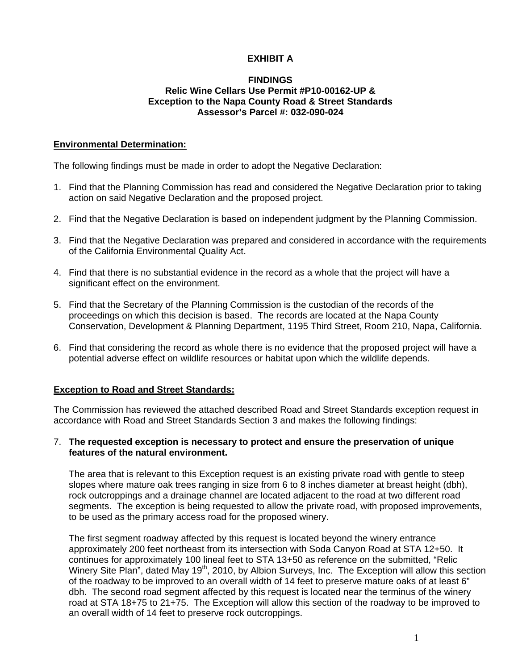# **EXHIBIT A**

### **FINDINGS Relic Wine Cellars Use Permit #P10-00162-UP & Exception to the Napa County Road & Street Standards Assessor's Parcel #: 032-090-024**

#### **Environmental Determination:**

The following findings must be made in order to adopt the Negative Declaration:

- 1. Find that the Planning Commission has read and considered the Negative Declaration prior to taking action on said Negative Declaration and the proposed project.
- 2. Find that the Negative Declaration is based on independent judgment by the Planning Commission.
- 3. Find that the Negative Declaration was prepared and considered in accordance with the requirements of the California Environmental Quality Act.
- 4. Find that there is no substantial evidence in the record as a whole that the project will have a significant effect on the environment.
- 5. Find that the Secretary of the Planning Commission is the custodian of the records of the proceedings on which this decision is based. The records are located at the Napa County Conservation, Development & Planning Department, 1195 Third Street, Room 210, Napa, California.
- 6. Find that considering the record as whole there is no evidence that the proposed project will have a potential adverse effect on wildlife resources or habitat upon which the wildlife depends.

### **Exception to Road and Street Standards:**

The Commission has reviewed the attached described Road and Street Standards exception request in accordance with Road and Street Standards Section 3 and makes the following findings:

#### 7. **The requested exception is necessary to protect and ensure the preservation of unique features of the natural environment.**

The area that is relevant to this Exception request is an existing private road with gentle to steep slopes where mature oak trees ranging in size from 6 to 8 inches diameter at breast height (dbh), rock outcroppings and a drainage channel are located adjacent to the road at two different road segments. The exception is being requested to allow the private road, with proposed improvements, to be used as the primary access road for the proposed winery.

The first segment roadway affected by this request is located beyond the winery entrance approximately 200 feet northeast from its intersection with Soda Canyon Road at STA 12+50. It continues for approximately 100 lineal feet to STA 13+50 as reference on the submitted, "Relic Winery Site Plan", dated May 19<sup>th</sup>, 2010, by Albion Surveys, Inc. The Exception will allow this section of the roadway to be improved to an overall width of 14 feet to preserve mature oaks of at least 6" dbh. The second road segment affected by this request is located near the terminus of the winery road at STA 18+75 to 21+75. The Exception will allow this section of the roadway to be improved to an overall width of 14 feet to preserve rock outcroppings.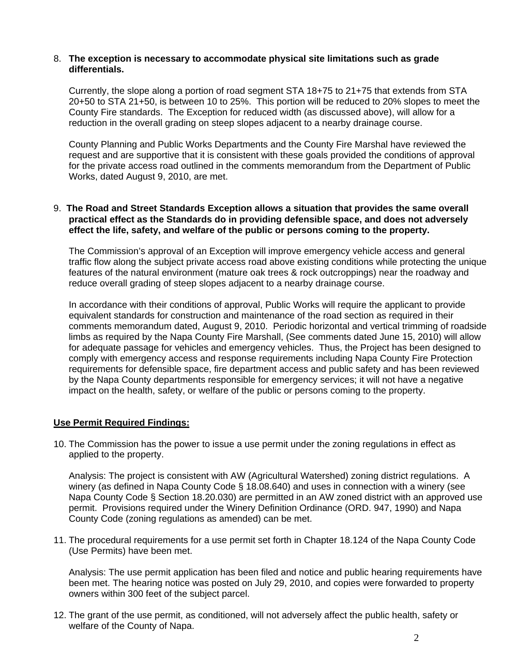#### 8. **The exception is necessary to accommodate physical site limitations such as grade differentials.**

Currently, the slope along a portion of road segment STA 18+75 to 21+75 that extends from STA 20+50 to STA 21+50, is between 10 to 25%. This portion will be reduced to 20% slopes to meet the County Fire standards. The Exception for reduced width (as discussed above), will allow for a reduction in the overall grading on steep slopes adjacent to a nearby drainage course.

County Planning and Public Works Departments and the County Fire Marshal have reviewed the request and are supportive that it is consistent with these goals provided the conditions of approval for the private access road outlined in the comments memorandum from the Department of Public Works, dated August 9, 2010, are met.

### 9. **The Road and Street Standards Exception allows a situation that provides the same overall practical effect as the Standards do in providing defensible space, and does not adversely effect the life, safety, and welfare of the public or persons coming to the property.**

The Commission's approval of an Exception will improve emergency vehicle access and general traffic flow along the subject private access road above existing conditions while protecting the unique features of the natural environment (mature oak trees & rock outcroppings) near the roadway and reduce overall grading of steep slopes adjacent to a nearby drainage course.

In accordance with their conditions of approval, Public Works will require the applicant to provide equivalent standards for construction and maintenance of the road section as required in their comments memorandum dated, August 9, 2010. Periodic horizontal and vertical trimming of roadside limbs as required by the Napa County Fire Marshall, (See comments dated June 15, 2010) will allow for adequate passage for vehicles and emergency vehicles. Thus, the Project has been designed to comply with emergency access and response requirements including Napa County Fire Protection requirements for defensible space, fire department access and public safety and has been reviewed by the Napa County departments responsible for emergency services; it will not have a negative impact on the health, safety, or welfare of the public or persons coming to the property.

## **Use Permit Required Findings:**

10. The Commission has the power to issue a use permit under the zoning regulations in effect as applied to the property.

Analysis: The project is consistent with AW (Agricultural Watershed) zoning district regulations. A winery (as defined in Napa County Code § 18.08.640) and uses in connection with a winery (see Napa County Code § Section 18.20.030) are permitted in an AW zoned district with an approved use permit. Provisions required under the Winery Definition Ordinance (ORD. 947, 1990) and Napa County Code (zoning regulations as amended) can be met.

11. The procedural requirements for a use permit set forth in Chapter 18.124 of the Napa County Code (Use Permits) have been met.

Analysis: The use permit application has been filed and notice and public hearing requirements have been met. The hearing notice was posted on July 29, 2010, and copies were forwarded to property owners within 300 feet of the subject parcel.

12. The grant of the use permit, as conditioned, will not adversely affect the public health, safety or welfare of the County of Napa.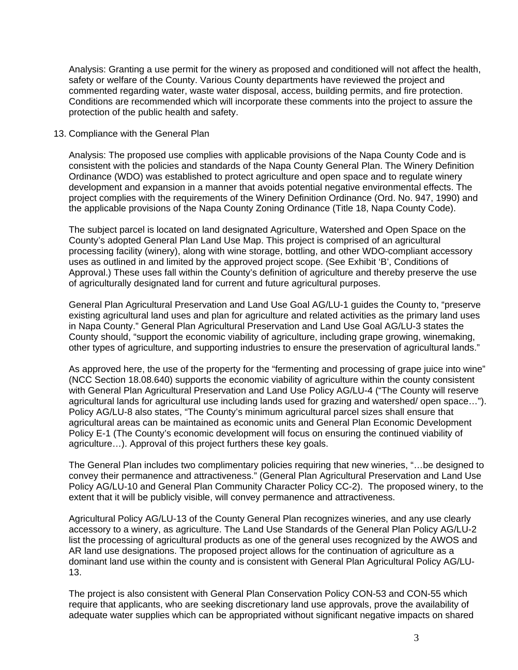Analysis: Granting a use permit for the winery as proposed and conditioned will not affect the health, safety or welfare of the County. Various County departments have reviewed the project and commented regarding water, waste water disposal, access, building permits, and fire protection. Conditions are recommended which will incorporate these comments into the project to assure the protection of the public health and safety.

#### 13. Compliance with the General Plan

Analysis: The proposed use complies with applicable provisions of the Napa County Code and is consistent with the policies and standards of the Napa County General Plan. The Winery Definition Ordinance (WDO) was established to protect agriculture and open space and to regulate winery development and expansion in a manner that avoids potential negative environmental effects. The project complies with the requirements of the Winery Definition Ordinance (Ord. No. 947, 1990) and the applicable provisions of the Napa County Zoning Ordinance (Title 18, Napa County Code).

The subject parcel is located on land designated Agriculture, Watershed and Open Space on the County's adopted General Plan Land Use Map. This project is comprised of an agricultural processing facility (winery), along with wine storage, bottling, and other WDO-compliant accessory uses as outlined in and limited by the approved project scope. (See Exhibit 'B', Conditions of Approval.) These uses fall within the County's definition of agriculture and thereby preserve the use of agriculturally designated land for current and future agricultural purposes.

General Plan Agricultural Preservation and Land Use Goal AG/LU-1 guides the County to, "preserve existing agricultural land uses and plan for agriculture and related activities as the primary land uses in Napa County." General Plan Agricultural Preservation and Land Use Goal AG/LU-3 states the County should, "support the economic viability of agriculture, including grape growing, winemaking, other types of agriculture, and supporting industries to ensure the preservation of agricultural lands."

As approved here, the use of the property for the "fermenting and processing of grape juice into wine" (NCC Section 18.08.640) supports the economic viability of agriculture within the county consistent with General Plan Agricultural Preservation and Land Use Policy AG/LU-4 ("The County will reserve agricultural lands for agricultural use including lands used for grazing and watershed/ open space…"). Policy AG/LU-8 also states, "The County's minimum agricultural parcel sizes shall ensure that agricultural areas can be maintained as economic units and General Plan Economic Development Policy E-1 (The County's economic development will focus on ensuring the continued viability of agriculture…). Approval of this project furthers these key goals.

The General Plan includes two complimentary policies requiring that new wineries, "…be designed to convey their permanence and attractiveness." (General Plan Agricultural Preservation and Land Use Policy AG/LU-10 and General Plan Community Character Policy CC-2). The proposed winery, to the extent that it will be publicly visible, will convey permanence and attractiveness.

Agricultural Policy AG/LU-13 of the County General Plan recognizes wineries, and any use clearly accessory to a winery, as agriculture. The Land Use Standards of the General Plan Policy AG/LU-2 list the processing of agricultural products as one of the general uses recognized by the AWOS and AR land use designations. The proposed project allows for the continuation of agriculture as a dominant land use within the county and is consistent with General Plan Agricultural Policy AG/LU-13.

The project is also consistent with General Plan Conservation Policy CON-53 and CON-55 which require that applicants, who are seeking discretionary land use approvals, prove the availability of adequate water supplies which can be appropriated without significant negative impacts on shared